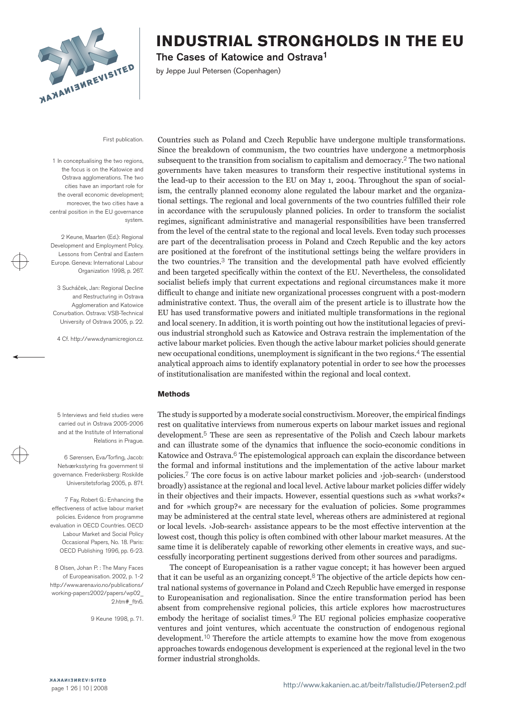

The Cases of Katowice and Ostrava1

by Jeppe Juul Petersen (Copenhagen)

First publication.

1 In conceptualising the two regions, the focus is on the Katowice and Ostrava agglomerations. The two cities have an important role for the overall economic development; moreover, the two cities have a central position in the EU governance system

2 Keune, Maarten (Ed.): Regional Development and Employment Policy. Lessons from Central and Eastern Europe. Geneva: International Labour Organization 1998, p. 267.

3 Sucháček, Jan: Regional Decline and Restructuring in Ostrava Agglomeration and Katowice Conurbation. Ostrava: VSB-Technical University of Ostrava 2005, p. 22.

4 Cf. http://www.dynamicregion.cz.

Countries such as Poland and Czech Republic have undergone multiple transformations. Since the breakdown of communism, the two countries have undergone a metmorphosis subsequent to the transition from socialism to capitalism and democracy.2 The two national governments have taken measures to transform their respective institutional systems in the lead-up to their accession to the EU on May 1, 2004. Throughout the span of socialism, the centrally planned economy alone regulated the labour market and the organizational settings. The regional and local governments of the two countries fulfilled their role in accordance with the scrupulously planned policies. In order to transform the socialist regimes, significant administrative and managerial responsibilities have been transferred from the level of the central state to the regional and local levels. Even today such processes are part of the decentralisation process in Poland and Czech Republic and the key actors are positioned at the forefront of the institutional settings being the welfare providers in the two countries.3 The transition and the developmental path have evolved efficiently and been targeted specifically within the context of the EU. Nevertheless, the consolidated socialist beliefs imply that current expectations and regional circumstances make it more difficult to change and initiate new organizational processes congruent with a post-modern administrative context. Thus, the overall aim of the present article is to illustrate how the EU has used transformative powers and initiated multiple transformations in the regional and local scenery. In addition, it is worth pointing out how the institutional legacies of previous industrial stronghold such as Katowice and Ostrava restrain the implementation of the active labour market policies. Even though the active labour market policies should generate new occupational conditions, unemployment is significant in the two regions.4 The essential analytical approach aims to identify explanatory potential in order to see how the processes of institutionalisation are manifested within the regional and local context.

#### **Methods**

The study is supported by a moderate social constructivism. Moreover, the empirical findings rest on qualitative interviews from numerous experts on labour market issues and regional development.5 These are seen as representative of the Polish and Czech labour markets and can illustrate some of the dynamics that influence the socio-economic conditions in Katowice and Ostrava.<sup>6</sup> The epistemological approach can explain the discordance between the formal and informal institutions and the implementation of the active labour market policies.7 The core focus is on active labour market policies and ›job-search‹ (understood broadly) assistance at the regional and local level. Active labour market policies differ widely in their objectives and their impacts. However, essential questions such as »what works?« and for »which group?« are necessary for the evaluation of policies. Some programmes may be administered at the central state level, whereas others are administered at regional or local levels. ›Job-search‹ assistance appears to be the most effective intervention at the lowest cost, though this policy is often combined with other labour market measures. At the same time it is deliberately capable of reworking other elements in creative ways, and successfully incorporating pertinent suggestions derived from other sources and paradigms.

The concept of Europeanisation is a rather vague concept; it has however been argued that it can be useful as an organizing concept.<sup>8</sup> The objective of the article depicts how central national systems of governance in Poland and Czech Republic have emerged in response to Europeanisation and regionalisation. Since the entire transformation period has been absent from comprehensive regional policies, this article explores how macrostructures embody the heritage of socialist times.9 The EU regional policies emphasize cooperative ventures and joint ventures, which accentuate the construction of endogenous regional development.10 Therefore the article attempts to examine how the move from exogenous approaches towards endogenous development is experienced at the regional level in the two former industrial strongholds.

5 Interviews and field studies were carried out in Ostrava 2005-2006 and at the Institute of International Relations in Prague.

6 Sørensen, Eva/Torfing, Jacob: Netværksstyring fra government til governance. Frederiksberg: Roskilde Universitetsforlag 2005, p. 87f.

7 Fay, Robert G.: Enhancing the effectiveness of active labour market policies. Evidence from programme evaluation in OECD Countries. OECD Labour Market and Social Policy Occasional Papers, No. 18. Paris: OECD Publishing 1996, pp. 6-23.

8 Olsen, Johan P. : The Many Faces of Europeanisation. 2002, p. 1-2 http://www.arena.vio.no/publications/ working-papers2002/papers/wp02\_ 2.htm#\_ftn6.

9 Keune 1998, p. 71.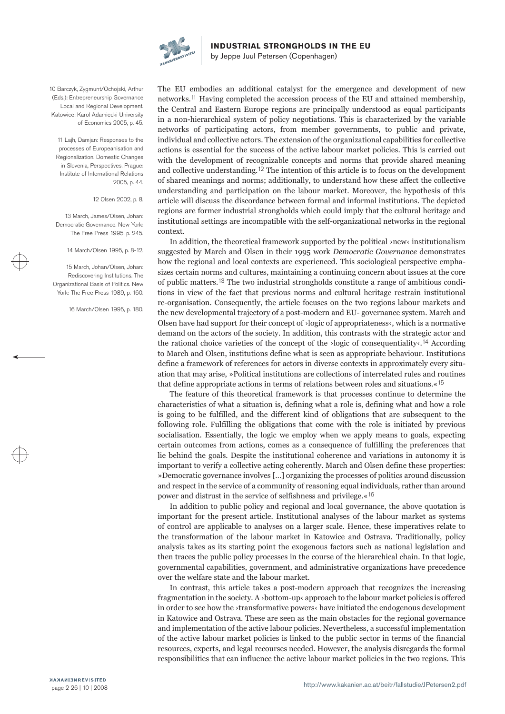

by Jeppe Juul Petersen (Copenhagen)

10 Barczyk, Zygmunt/Ochojski, Arthur (Eds.): Entrepreneurship Governance Local and Regional Development. Katowice: Karol Adamiecki University of Economics 2005, p. 45.

11 Lajh, Damjan: Responses to the processes of Europeanisation and Regionalization. Domestic Changes in Slovenia, Perspectives. Prague: Institute of International Relations 2005, p. 44.

#### 12 Olsen 2002, p. 8.

13 March, James/Olsen, Johan: Democratic Governance. New York: The Free Press 1995, p. 245.

14 March/Olsen 1995, p. 8-12.

15 March, Johan/Olsen, Johan: Rediscovering Institutions. The Organizational Basis of Politics. New York: The Free Press 1989, p. 160.

16 March/Olsen 1995, p. 180.

The EU embodies an additional catalyst for the emergence and development of new networks.11 Having completed the accession process of the EU and attained membership, the Central and Eastern Europe regions are principally understood as equal participants in a non-hierarchical system of policy negotiations. This is characterized by the variable networks of participating actors, from member governments, to public and private, individual and collective actors. The extension of the organizational capabilities for collective actions is essential for the success of the active labour market policies. This is carried out with the development of recognizable concepts and norms that provide shared meaning and collective understanding.12 The intention of this article is to focus on the development of shared meanings and norms; additionally, to understand how these affect the collective understanding and participation on the labour market. Moreover, the hypothesis of this article will discuss the discordance between formal and informal institutions. The depicted regions are former industrial strongholds which could imply that the cultural heritage and institutional settings are incompatible with the self-organizational networks in the regional context.

In addition, the theoretical framework supported by the political ›new‹ institutionalism suggested by March and Olsen in their 1995 work *Democratic Governance* demonstrates how the regional and local contexts are experienced. This sociological perspective emphasizes certain norms and cultures, maintaining a continuing concern about issues at the core of public matters.13 The two industrial strongholds constitute a range of ambitious conditions in view of the fact that previous norms and cultural heritage restrain institutional re-organisation. Consequently, the article focuses on the two regions labour markets and the new developmental trajectory of a post-modern and EU- governance system. March and Olsen have had support for their concept of  $\lambda$ logic of appropriateness $\lambda$ , which is a normative demand on the actors of the society. In addition, this contrasts with the strategic actor and the rational choice varieties of the concept of the  $\cdot$ logic of consequentiality $\cdot$ .<sup>14</sup> According to March and Olsen, institutions define what is seen as appropriate behaviour. Institutions define a framework of references for actors in diverse contexts in approximately every situation that may arise, »Political institutions are collections of interrelated rules and routines that define appropriate actions in terms of relations between roles and situations.«15

The feature of this theoretical framework is that processes continue to determine the characteristics of what a situation is, defining what a role is, defining what and how a role is going to be fulfilled, and the different kind of obligations that are subsequent to the following role. Fulfilling the obligations that come with the role is initiated by previous socialisation. Essentially, the logic we employ when we apply means to goals, expecting certain outcomes from actions, comes as a consequence of fulfilling the preferences that lie behind the goals. Despite the institutional coherence and variations in autonomy it is important to verify a collective acting coherently. March and Olsen define these properties: »Democratic governance involves […] organizing the processes of politics around discussion and respect in the service of a community of reasoning equal individuals, rather than around power and distrust in the service of selfishness and privilege.«16

In addition to public policy and regional and local governance, the above quotation is important for the present article. Institutional analyses of the labour market as systems of control are applicable to analyses on a larger scale. Hence, these imperatives relate to the transformation of the labour market in Katowice and Ostrava. Traditionally, policy analysis takes as its starting point the exogenous factors such as national legislation and then traces the public policy processes in the course of the hierarchical chain. In that logic, governmental capabilities, government, and administrative organizations have precedence over the welfare state and the labour market.

In contrast, this article takes a post-modern approach that recognizes the increasing fragmentation in the society. A ›bottom-up‹ approach to the labour market policies is offered in order to see how the ›transformative powers‹ have initiated the endogenous development in Katowice and Ostrava. These are seen as the main obstacles for the regional governance and implementation of the active labour policies. Nevertheless, a successful implementation of the active labour market policies is linked to the public sector in terms of the financial resources, experts, and legal recourses needed. However, the analysis disregards the formal responsibilities that can influence the active labour market policies in the two regions. This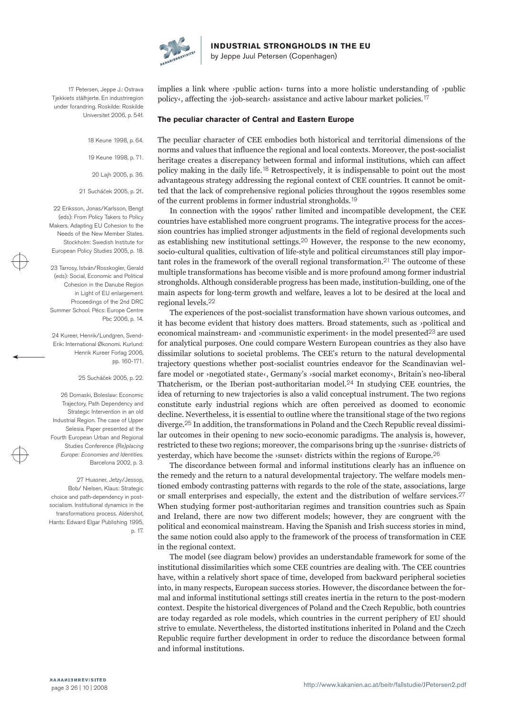

17 Petersen, Jeppe J.: Ostrava Tjekkiets stålhjerte. En industriregion under forandring. Roskilde: Roskilde Universitet 2006, p. 54f.

> 18 Keune 1998, p. 64. 19 Keune 1998, p. 71. 20 Lajh 2005, p. 36.

21 Sucháček 2005, p. 2f..

22 Eriksson, Jonas/Karlsson, Bengt (eds): From Policy Takers to Policy Makers. Adapting EU Cohesion to the Needs of the New Member States. Stockholm: Swedish Institute for European Policy Studies 2005, p. 18.

23 Tarrosy, István/Rosskogler, Gerald (eds): Social, Economic and Political Cohesion in the Danube Region in Light of EU enlargement. Proceedings of the 2nd DRC Summer School. Pécs: Europe Centre Pbc 2006, p. 14.

24 Kureer, Henrik/Lundgren, Svend-Erik: International Økonomi. Kurlund: Henrik Kureer Forlag 2006, pp. 160-171.

25 Sucháček 2005, p. 22.

26 Domaski, Boleslaw: Economic Trajectory, Path Dependency and Strategic Intervention in an old Industrial Region. The case of Upper Selesia. Paper presented at the Fourth European Urban and Regional Studies Conference *(Re)placing Europe: Economies and Identities.*  Barcelona 2002, p. 3.

27 Huasner, Jetzy/Jessop, Bob/ Nielsen, Klaus: Strategic choice and path-dependency in postsocialism. Institutional dynamics in the transformations process. Aldershot, Hants: Edward Elgar Publishing 1995, p. 17. implies a link where  $\alpha$  >public action $\alpha$  turns into a more holistic understanding of  $\alpha$  >public policy  $\epsilon$ , affecting the  $\epsilon$ job-search $\epsilon$  assistance and active labour market policies.<sup>17</sup>

**Industrial Strongholds in the EU**

by Jeppe Juul Petersen (Copenhagen)

#### **The peculiar character of Central and Eastern Europe**

The peculiar character of CEE embodies both historical and territorial dimensions of the norms and values that influence the regional and local contexts. Moreover, the post-socialist heritage creates a discrepancy between formal and informal institutions, which can affect policy making in the daily life.18 Retrospectively, it is indispensable to point out the most advantageous strategy addressing the regional context of CEE countries. It cannot be omitted that the lack of comprehensive regional policies throughout the 1990s resembles some of the current problems in former industrial strongholds.19

In connection with the 1990s' rather limited and incompatible development, the CEE countries have established more congruent programs. The integrative process for the accession countries has implied stronger adjustments in the field of regional developments such as establishing new institutional settings.20 However, the response to the new economy, socio-cultural qualities, cultivation of life-style and political circumstances still play important roles in the framework of the overall regional transformation.<sup>21</sup> The outcome of these multiple transformations has become visible and is more profound among former industrial strongholds. Although considerable progress has been made, institution-building, one of the main aspects for long-term growth and welfare, leaves a lot to be desired at the local and regional levels.22

The experiences of the post-socialist transformation have shown various outcomes, and it has become evident that history does matters. Broad statements, such as ›political and economical mainstream‹ and ›communistic experiment‹ in the model presented23 are used for analytical purposes. One could compare Western European countries as they also have dissimilar solutions to societal problems. The CEE's return to the natural developmental trajectory questions whether post-socialist countries endeavor for the Scandinavian welfare model or ›negotiated state‹, Germany's ›social market economy‹, Britain's neo-liberal Thatcherism, or the Iberian post-authoritarian model.24 In studying CEE countries, the idea of returning to new trajectories is also a valid conceptual instrument. The two regions constitute early industrial regions which are often perceived as doomed to economic decline. Nevertheless, it is essential to outline where the transitional stage of the two regions diverge.25 In addition, the transformations in Poland and the Czech Republic reveal dissimilar outcomes in their opening to new socio-economic paradigms. The analysis is, however, restricted to these two regions; moreover, the comparisons bring up the  $\alpha$ sunrise districts of yesterday, which have become the  $\cdot$ sunset $\cdot$  districts within the regions of Europe.<sup>26</sup>

The discordance between formal and informal institutions clearly has an influence on the remedy and the return to a natural developmental trajectory. The welfare models mentioned embody contrasting patterns with regards to the role of the state, associations, large or small enterprises and especially, the extent and the distribution of welfare services.<sup>27</sup> When studying former post-authoritarian regimes and transition countries such as Spain and Ireland, there are now two different models; however, they are congruent with the political and economical mainstream. Having the Spanish and Irish success stories in mind, the same notion could also apply to the framework of the process of transformation in CEE in the regional context.

The model (see diagram below) provides an understandable framework for some of the institutional dissimilarities which some CEE countries are dealing with. The CEE countries have, within a relatively short space of time, developed from backward peripheral societies into, in many respects, European success stories. However, the discordance between the formal and informal institutional settings still creates inertia in the return to the post-modern context. Despite the historical divergences of Poland and the Czech Republic, both countries are today regarded as role models, which countries in the current periphery of EU should strive to emulate. Nevertheless, the distorted institutions inherited in Poland and the Czech Republic require further development in order to reduce the discordance between formal and informal institutions.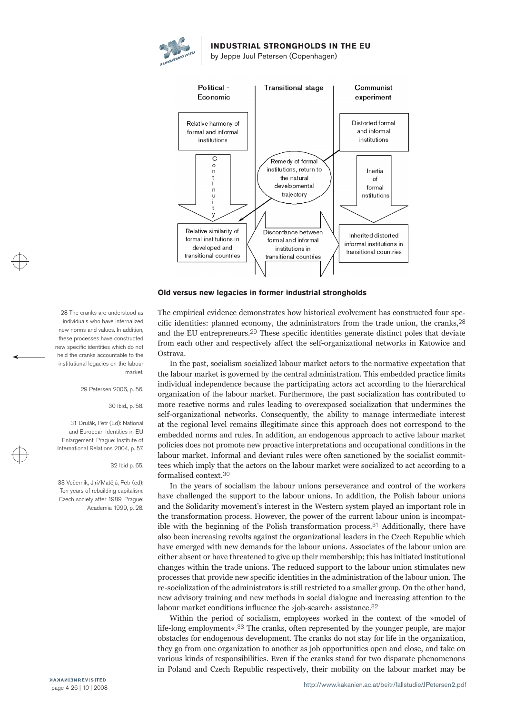



#### **Old versus new legacies in former industrial strongholds**

The empirical evidence demonstrates how historical evolvement has constructed four specific identities: planned economy, the administrators from the trade union, the cranks,28 and the EU entrepreneurs.29 These specific identities generate distinct poles that deviate from each other and respectively affect the self-organizational networks in Katowice and Ostrava.

In the past, socialism socialized labour market actors to the normative expectation that the labour market is governed by the central administration. This embedded practice limits individual independence because the participating actors act according to the hierarchical organization of the labour market. Furthermore, the past socialization has contributed to more reactive norms and rules leading to overexposed socialization that undermines the self-organizational networks. Consequently, the ability to manage intermediate interest at the regional level remains illegitimate since this approach does not correspond to the embedded norms and rules. In addition, an endogenous approach to active labour market policies does not promote new proactive interpretations and occupational conditions in the labour market. Informal and deviant rules were often sanctioned by the socialist committees which imply that the actors on the labour market were socialized to act according to a formalised context.30

In the years of socialism the labour unions perseverance and control of the workers have challenged the support to the labour unions. In addition, the Polish labour unions and the Solidarity movement's interest in the Western system played an important role in the transformation process. However, the power of the current labour union is incompatible with the beginning of the Polish transformation process.31 Additionally, there have also been increasing revolts against the organizational leaders in the Czech Republic which have emerged with new demands for the labour unions. Associates of the labour union are either absent or have threatened to give up their membership; this has initiated institutional changes within the trade unions. The reduced support to the labour union stimulates new processes that provide new specific identities in the administration of the labour union. The re-socialization of the administrators is still restricted to a smaller group. On the other hand, new advisory training and new methods in social dialogue and increasing attention to the labour market conditions influence the ›job-search‹ assistance.32

Within the period of socialism, employees worked in the context of the »model of life-long employment«.33 The cranks, often represented by the younger people, are major obstacles for endogenous development. The cranks do not stay for life in the organization, they go from one organization to another as job opportunities open and close, and take on various kinds of responsibilities. Even if the cranks stand for two disparate phenomenons in Poland and Czech Republic respectively, their mobility on the labour market may be

28 The cranks are understood as individuals who have internalized new norms and values. In addition, these processes have constructed new specific identities which do not held the cranks accountable to the institutional legacies on the labour market.

29 Petersen 2006, p. 56.

#### 30 Ibid., p. 58.

31 Drulák, Petr (Ed): National and European Identities in EU Enlargement. Prague: Institute of International Relations 2004, p. 57.

#### 32 Ibid p. 65.

33 Večerník, Jirí/Matějů, Petr (ed): Ten years of rebuilding capitalism. Czech society after 1989. Prague: Academia 1999, p. 28.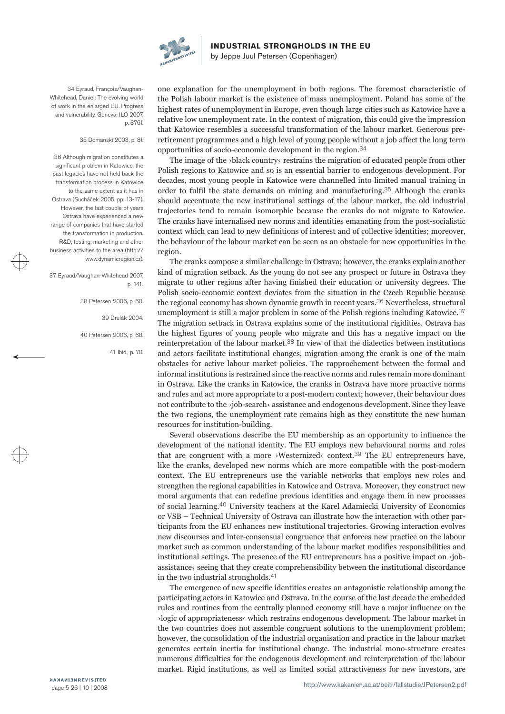

by Jeppe Juul Petersen (Copenhagen)

34 Eyraud, François/Vaughan-Whitehead, Daniel: The evolving world of work in the enlarged EU. Progress and vulnerability. Geneva: ILO 2007, p. 376f.

35 Domanski 2003, p. 8f.

36 Although migration constitutes a significant problem in Katowice, the past legacies have not held back the transformation process in Katowice to the same extent as it has in Ostrava (Sucháček 2005, pp. 13-17). However, the last couple of years Ostrava have experienced a new range of companies that have started the transformation in production, R&D, testing, marketing and other business activities to the area (http:// www.dynamicregion.cz).

37 Eyraud/Vaughan-Whitehead 2007, p. 141.

> 38 Petersen 2006, p. 60. 39 Drulák 2004. 40 Petersen 2006, p. 68. 41 Ibid., p. 70.

one explanation for the unemployment in both regions. The foremost characteristic of the Polish labour market is the existence of mass unemployment. Poland has some of the highest rates of unemployment in Europe, even though large cities such as Katowice have a relative low unemployment rate. In the context of migration, this could give the impression that Katowice resembles a successful transformation of the labour market. Generous preretirement programmes and a high level of young people without a job affect the long term opportunities of socio-economic development in the region.34

The image of the ›black country‹ restrains the migration of educated people from other Polish regions to Katowice and so is an essential barrier to endogenous development. For decades, most young people in Katowice were channelled into limited manual training in order to fulfil the state demands on mining and manufacturing.35 Although the cranks should accentuate the new institutional settings of the labour market, the old industrial trajectories tend to remain isomorphic because the cranks do not migrate to Katowice. The cranks have internalised new norms and identities emanating from the post-socialistic context which can lead to new definitions of interest and of collective identities; moreover, the behaviour of the labour market can be seen as an obstacle for new opportunities in the region.

The cranks compose a similar challenge in Ostrava; however, the cranks explain another kind of migration setback. As the young do not see any prospect or future in Ostrava they migrate to other regions after having finished their education or university degrees. The Polish socio-economic context deviates from the situation in the Czech Republic because the regional economy has shown dynamic growth in recent years.36 Nevertheless, structural unemployment is still a major problem in some of the Polish regions including Katowice.37 The migration setback in Ostrava explains some of the institutional rigidities. Ostrava has the highest figures of young people who migrate and this has a negative impact on the reinterpretation of the labour market.38 In view of that the dialectics between institutions and actors facilitate institutional changes, migration among the crank is one of the main obstacles for active labour market policies. The rapprochement between the formal and informal institutions is restrained since the reactive norms and rules remain more dominant in Ostrava. Like the cranks in Katowice, the cranks in Ostrava have more proactive norms and rules and act more appropriate to a post-modern context; however, their behaviour does not contribute to the ›job-search‹ assistance and endogenous development. Since they leave the two regions, the unemployment rate remains high as they constitute the new human resources for institution-building.

Several observations describe the EU membership as an opportunity to influence the development of the national identity. The EU employs new behavioural norms and roles that are congruent with a more  $\mathcal{W}$ esternized $\mathcal{W}$  context.<sup>39</sup> The EU entrepreneurs have, like the cranks, developed new norms which are more compatible with the post-modern context. The EU entrepreneurs use the variable networks that employs new roles and strengthen the regional capabilities in Katowice and Ostrava. Moreover, they construct new moral arguments that can redefine previous identities and engage them in new processes of social learning.40 University teachers at the Karel Adamiecki University of Economics or VSB – Technical University of Ostrava can illustrate how the interaction with other participants from the EU enhances new institutional trajectories. Growing interaction evolves new discourses and inter-consensual congruence that enforces new practice on the labour market such as common understanding of the labour market modifies responsibilities and institutional settings. The presence of the EU entrepreneurs has a positive impact on  $\alpha$  iobassistance‹ seeing that they create comprehensibility between the institutional discordance in the two industrial strongholds.41

The emergence of new specific identities creates an antagonistic relationship among the participating actors in Katowice and Ostrava. In the course of the last decade the embedded rules and routines from the centrally planned economy still have a major influence on the ›logic of appropriateness‹ which restrains endogenous development. The labour market in the two countries does not assemble congruent solutions to the unemployment problem; however, the consolidation of the industrial organisation and practice in the labour market generates certain inertia for institutional change. The industrial mono-structure creates numerous difficulties for the endogenous development and reinterpretation of the labour market. Rigid institutions, as well as limited social attractiveness for new investors, are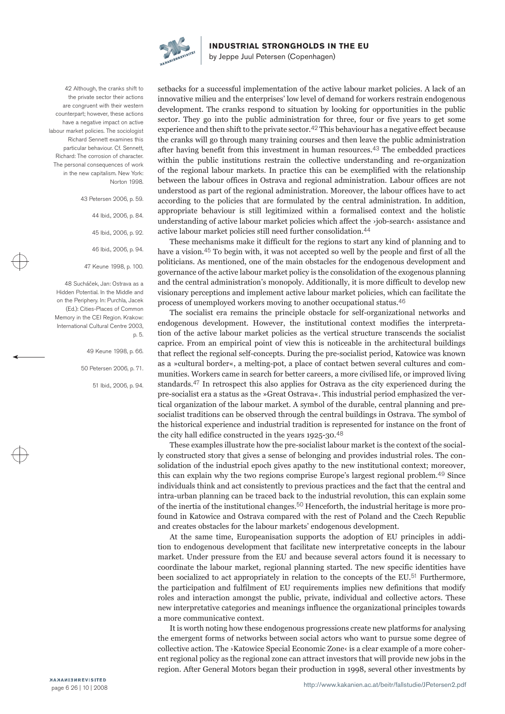

by Jeppe Juul Petersen (Copenhagen)

42 Although, the cranks shift to the private sector their actions are congruent with their western counterpart; however, these actions have a negative impact on active labour market policies. The sociologist Richard Sennett examines this particular behaviour. Cf. Sennett, Richard: The corrosion of character. The personal consequences of work in the new capitalism. New York: Norton 1998.

> 43 Petersen 2006, p. 59. 44 Ibid., 2006, p. 84. 45 Ibid., 2006, p. 92. 46 Ibid., 2006, p. 94. 47 Keune 1998, p. 100.

48 Sucháček, Jan: Ostrava as a Hidden Potential. In the Middle and on the Periphery. In: Purchla, Jacek (Ed.): Cities-Places of Common Memory in the CEI Region. Krakow: International Cultural Centre 2003, p. 5.

> 49 Keune 1998, p. 66. 50 Petersen 2006, p. 71. 51 Ibid., 2006, p. 94.

setbacks for a successful implementation of the active labour market policies. A lack of an innovative milieu and the enterprises' low level of demand for workers restrain endogenous development. The cranks respond to situation by looking for opportunities in the public sector. They go into the public administration for three, four or five years to get some experience and then shift to the private sector.42 This behaviour has a negative effect because the cranks will go through many training courses and then leave the public administration after having benefit from this investment in human resources.43 The embedded practices within the public institutions restrain the collective understanding and re-organization of the regional labour markets. In practice this can be exemplified with the relationship between the labour offices in Ostrava and regional administration. Labour offices are not understood as part of the regional administration. Moreover, the labour offices have to act according to the policies that are formulated by the central administration. In addition, appropriate behaviour is still legitimized within a formalised context and the holistic understanding of active labour market policies which affect the ›job-search‹ assistance and active labour market policies still need further consolidation.44

These mechanisms make it difficult for the regions to start any kind of planning and to have a vision.45 To begin with, it was not accepted so well by the people and first of all the politicians. As mentioned, one of the main obstacles for the endogenous development and governance of the active labour market policy is the consolidation of the exogenous planning and the central administration's monopoly. Additionally, it is more difficult to develop new visionary perceptions and implement active labour market policies, which can facilitate the process of unemployed workers moving to another occupational status.46

The socialist era remains the principle obstacle for self-organizational networks and endogenous development. However, the institutional context modifies the interpretation of the active labour market policies as the vertical structure transcends the socialist caprice. From an empirical point of view this is noticeable in the architectural buildings that reflect the regional self-concepts. During the pre-socialist period, Katowice was known as a »cultural border«, a melting-pot, a place of contact betwen several cultures and communities. Workers came in search for better careers, a more civilised life, or improved living standards.47 In retrospect this also applies for Ostrava as the city experienced during the pre-socialist era a status as the »Great Ostrava«. This industrial period emphasized the vertical organization of the labour market. A symbol of the durable, central planning and presocialist traditions can be observed through the central buildings in Ostrava. The symbol of the historical experience and industrial tradition is represented for instance on the front of the city hall edifice constructed in the years 1925-30.48

These examples illustrate how the pre-socialist labour market is the context of the socially constructed story that gives a sense of belonging and provides industrial roles. The consolidation of the industrial epoch gives apathy to the new institutional context; moreover, this can explain why the two regions comprise Europe's largest regional problem.49 Since individuals think and act consistently to previous practices and the fact that the central and intra-urban planning can be traced back to the industrial revolution, this can explain some of the inertia of the institutional changes.<sup>50</sup> Henceforth, the industrial heritage is more profound in Katowice and Ostrava compared with the rest of Poland and the Czech Republic and creates obstacles for the labour markets' endogenous development.

At the same time, Europeanisation supports the adoption of EU principles in addition to endogenous development that facilitate new interpretative concepts in the labour market. Under pressure from the EU and because several actors found it is necessary to coordinate the labour market, regional planning started. The new specific identities have been socialized to act appropriately in relation to the concepts of the EU.51 Furthermore, the participation and fulfilment of EU requirements implies new definitions that modify roles and interaction amongst the public, private, individual and collective actors. These new interpretative categories and meanings influence the organizational principles towards a more communicative context.

It is worth noting how these endogenous progressions create new platforms for analysing the emergent forms of networks between social actors who want to pursue some degree of collective action. The ›Katowice Special Economic Zone‹ is a clear example of a more coherent regional policy as the regional zone can attract investors that will provide new jobs in the region. After General Motors began their production in 1998, several other investments by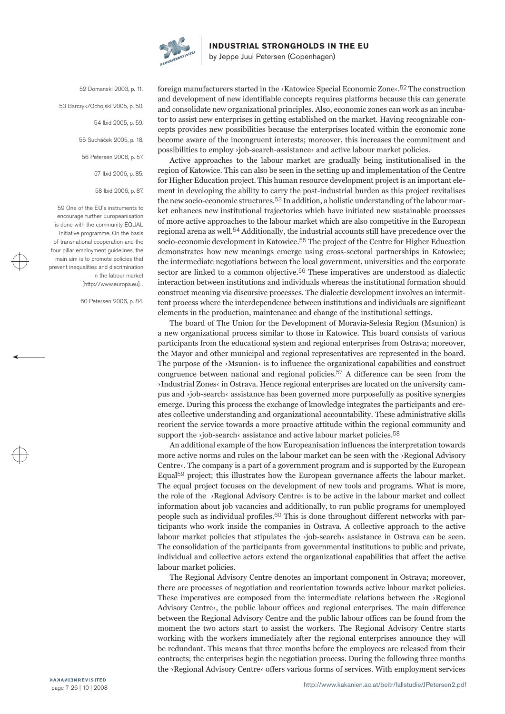

by Jeppe Juul Petersen (Copenhagen)

52 Domanski 2003, p. 11. 53 Barczyk/Ochojski 2005, p. 50. 54 Ibid 2005, p. 59. 55 Sucháček 2005, p. 18. 56 Petersen 2006, p. 57. 57 Ibid 2006, p. 85. 58 Ibid 2006, p. 87.

59 One of the EU's instruments to encourage further Europeanisation is done with the community EQUAL Initiative programme. On the basis of transnational cooperation and the four pillar employment guidelines, the main aim is to promote policies that prevent inequalities and discrimination in the labour market [http://www.europa.eu]. .

60 Petersen 2006, p. 84.

foreign manufacturers started in the ›Katowice Special Economic Zone‹.52 The construction and development of new identifiable concepts requires platforms because this can generate and consolidate new organizational principles. Also, economic zones can work as an incubator to assist new enterprises in getting established on the market. Having recognizable concepts provides new possibilities because the enterprises located within the economic zone become aware of the incongruent interests; moreover, this increases the commitment and possibilities to employ ›job-search-assistance‹ and active labour market policies.

Active approaches to the labour market are gradually being institutionalised in the region of Katowice. This can also be seen in the setting up and implementation of the Centre for Higher Education project. This human resource development project is an important element in developing the ability to carry the post-industrial burden as this project revitalises the new socio-economic structures.53 In addition, a holistic understanding of the labour market enhances new institutional trajectories which have initiated new sustainable processes of more active approaches to the labour market which are also competitive in the European regional arena as well.54 Additionally, the industrial accounts still have precedence over the socio-economic development in Katowice.55 The project of the Centre for Higher Education demonstrates how new meanings emerge using cross-sectoral partnerships in Katowice; the intermediate negotiations between the local government, universities and the corporate sector are linked to a common objective.56 These imperatives are understood as dialectic interaction between institutions and individuals whereas the institutional formation should construct meaning via discursive processes. The dialectic development involves an intermittent process where the interdependence between institutions and individuals are significant elements in the production, maintenance and change of the institutional settings.

The board of The Union for the Development of Moravia-Selesia Region (Msunion) is a new organizational process similar to those in Katowice. This board consists of various participants from the educational system and regional enterprises from Ostrava; moreover, the Mayor and other municipal and regional representatives are represented in the board. The purpose of the  $\delta$ Msunion $\delta$  is to influence the organizational capabilities and construct congruence between national and regional policies.<sup>57</sup> A difference can be seen from the ›Industrial Zones‹ in Ostrava. Hence regional enterprises are located on the university campus and ›job-search‹ assistance has been governed more purposefully as positive synergies emerge. During this process the exchange of knowledge integrates the participants and creates collective understanding and organizational accountability. These administrative skills reorient the service towards a more proactive attitude within the regional community and support the  $\delta$ job-search $\epsilon$  assistance and active labour market policies.<sup>58</sup>

An additional example of the how Europeanisation influences the interpretation towards more active norms and rules on the labour market can be seen with the ›Regional Advisory Centre $\cdot$ . The company is a part of a government program and is supported by the European Equal59 project; this illustrates how the European governance affects the labour market. The equal project focuses on the development of new tools and programs. What is more, the role of the ›Regional Advisory Centre‹ is to be active in the labour market and collect information about job vacancies and additionally, to run public programs for unemployed people such as individual profiles.60 This is done throughout different networks with participants who work inside the companies in Ostrava. A collective approach to the active labour market policies that stipulates the ›job-search‹ assistance in Ostrava can be seen. The consolidation of the participants from governmental institutions to public and private, individual and collective actors extend the organizational capabilities that affect the active labour market policies.

The Regional Advisory Centre denotes an important component in Ostrava; moreover, there are processes of negotiation and reorientation towards active labour market policies. These imperatives are composed from the intermediate relations between the ›Regional Advisory Centre‹, the public labour offices and regional enterprises. The main difference between the Regional Advisory Centre and the public labour offices can be found from the moment the two actors start to assist the workers. The Regional Advisory Centre starts working with the workers immediately after the regional enterprises announce they will be redundant. This means that three months before the employees are released from their contracts; the enterprises begin the negotiation process. During the following three months the ›Regional Advisory Centre‹ offers various forms of services. With employment services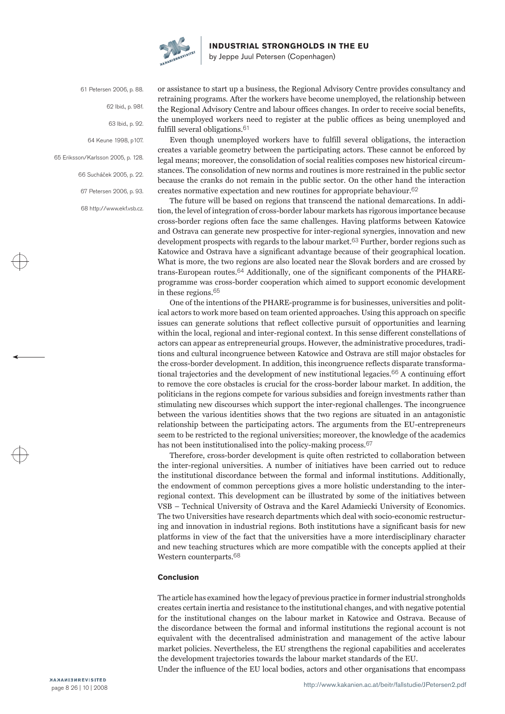

by Jeppe Juul Petersen (Copenhagen)

61 Petersen 2006, p. 88. 62 Ibid., p. 98f. 63 Ibid., p. 92. 64 Keune 1998, p107. 65 Eriksson/Karlsson 2005, p. 128. 66 Sucháček 2005, p. 22. 67 Petersen 2006, p. 93. 68 http://www.ekf.vsb.cz.

or assistance to start up a business, the Regional Advisory Centre provides consultancy and retraining programs. After the workers have become unemployed, the relationship between the Regional Advisory Centre and labour offices changes. In order to receive social benefits, the unemployed workers need to register at the public offices as being unemployed and fulfill several obligations.61

Even though unemployed workers have to fulfill several obligations, the interaction creates a variable geometry between the participating actors. These cannot be enforced by legal means; moreover, the consolidation of social realities composes new historical circumstances. The consolidation of new norms and routines is more restrained in the public sector because the cranks do not remain in the public sector. On the other hand the interaction creates normative expectation and new routines for appropriate behaviour.62

The future will be based on regions that transcend the national demarcations. In addition, the level of integration of cross-border labour markets has rigorous importance because cross-border regions often face the same challenges. Having platforms between Katowice and Ostrava can generate new prospective for inter-regional synergies, innovation and new development prospects with regards to the labour market.<sup>63</sup> Further, border regions such as Katowice and Ostrava have a significant advantage because of their geographical location. What is more, the two regions are also located near the Slovak borders and are crossed by trans-European routes.64 Additionally, one of the significant components of the PHAREprogramme was cross-border cooperation which aimed to support economic development in these regions.65

One of the intentions of the PHARE-programme is for businesses, universities and political actors to work more based on team oriented approaches. Using this approach on specific issues can generate solutions that reflect collective pursuit of opportunities and learning within the local, regional and inter-regional context. In this sense different constellations of actors can appear as entrepreneurial groups. However, the administrative procedures, traditions and cultural incongruence between Katowice and Ostrava are still major obstacles for the cross-border development. In addition, this incongruence reflects disparate transformational trajectories and the development of new institutional legacies.66 A continuing effort to remove the core obstacles is crucial for the cross-border labour market. In addition, the politicians in the regions compete for various subsidies and foreign investments rather than stimulating new discourses which support the inter-regional challenges. The incongruence between the various identities shows that the two regions are situated in an antagonistic relationship between the participating actors. The arguments from the EU-entrepreneurs seem to be restricted to the regional universities; moreover, the knowledge of the academics has not been institutionalised into the policy-making process.<sup>67</sup>

Therefore, cross-border development is quite often restricted to collaboration between the inter-regional universities. A number of initiatives have been carried out to reduce the institutional discordance between the formal and informal institutions. Additionally, the endowment of common perceptions gives a more holistic understanding to the interregional context. This development can be illustrated by some of the initiatives between VSB – Technical University of Ostrava and the Karel Adamiecki University of Economics. The two Universities have research departments which deal with socio-economic restructuring and innovation in industrial regions. Both institutions have a significant basis for new platforms in view of the fact that the universities have a more interdisciplinary character and new teaching structures which are more compatible with the concepts applied at their Western counterparts.68

#### **Conclusion**

The article has examined how the legacy of previous practice in former industrial strongholds creates certain inertia and resistance to the institutional changes, and with negative potential for the institutional changes on the labour market in Katowice and Ostrava. Because of the discordance between the formal and informal institutions the regional account is not equivalent with the decentralised administration and management of the active labour market policies. Nevertheless, the EU strengthens the regional capabilities and accelerates the development trajectories towards the labour market standards of the EU.

Under the influence of the EU local bodies, actors and other organisations that encompass